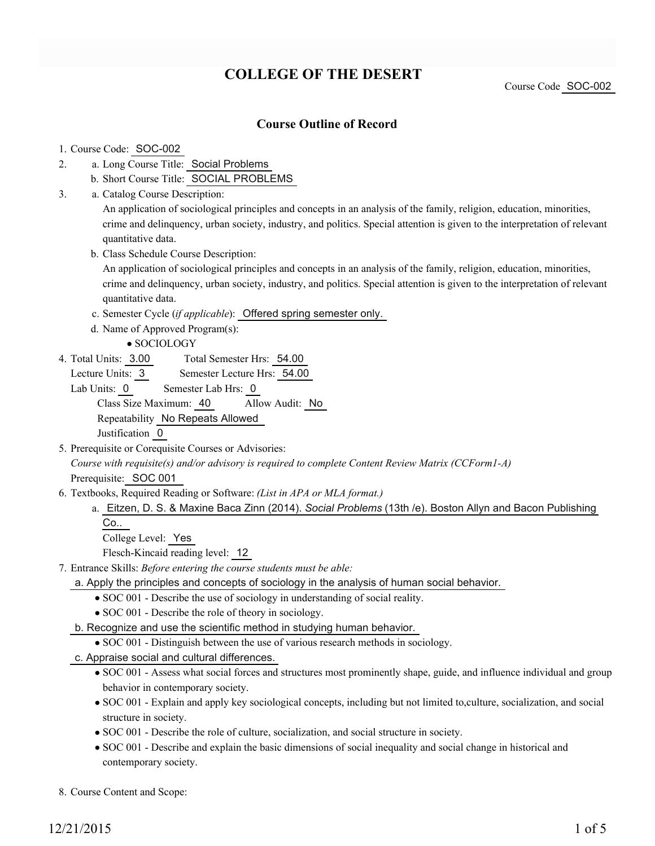# **COLLEGE OF THE DESERT**

Course Code SOC-002

## **Course Outline of Record**

#### 1. Course Code: SOC-002

- a. Long Course Title: Social Problems 2.
	- b. Short Course Title: SOCIAL PROBLEMS
- Catalog Course Description: a. 3.

An application of sociological principles and concepts in an analysis of the family, religion, education, minorities, crime and delinquency, urban society, industry, and politics. Special attention is given to the interpretation of relevant quantitative data.

b. Class Schedule Course Description:

An application of sociological principles and concepts in an analysis of the family, religion, education, minorities, crime and delinquency, urban society, industry, and politics. Special attention is given to the interpretation of relevant quantitative data.

- c. Semester Cycle (*if applicable*): Offered spring semester only.
- d. Name of Approved Program(s):
	- SOCIOLOGY
- Total Semester Hrs: 54.00 4. Total Units: 3.00

Lecture Units: 3 Semester Lecture Hrs: 54.00

Lab Units: 0 Semester Lab Hrs: 0 Class Size Maximum: 40 Allow Audit: No Repeatability No Repeats Allowed Justification 0

5. Prerequisite or Corequisite Courses or Advisories:

*Course with requisite(s) and/or advisory is required to complete Content Review Matrix (CCForm1-A)* Prerequisite: SOC 001

- Textbooks, Required Reading or Software: *(List in APA or MLA format.)* 6.
	- Eitzen, D. S. & Maxine Baca Zinn (2014). *Social Problems* (13th /e). Boston Allyn and Bacon Publishing a. Co..

College Level: Yes

Flesch-Kincaid reading level: 12

- Entrance Skills: *Before entering the course students must be able:* 7.
	- a. Apply the principles and concepts of sociology in the analysis of human social behavior.
		- SOC 001 Describe the use of sociology in understanding of social reality.
		- SOC 001 Describe the role of theory in sociology.
	- b. Recognize and use the scientific method in studying human behavior.
		- SOC 001 Distinguish between the use of various research methods in sociology.
	- c. Appraise social and cultural differences.
		- SOC 001 Assess what social forces and structures most prominently shape, guide, and influence individual and group behavior in contemporary society.
		- SOC 001 Explain and apply key sociological concepts, including but not limited to,culture, socialization, and social structure in society.
		- SOC 001 Describe the role of culture, socialization, and social structure in society.
		- SOC 001 Describe and explain the basic dimensions of social inequality and social change in historical and contemporary society.

8. Course Content and Scope: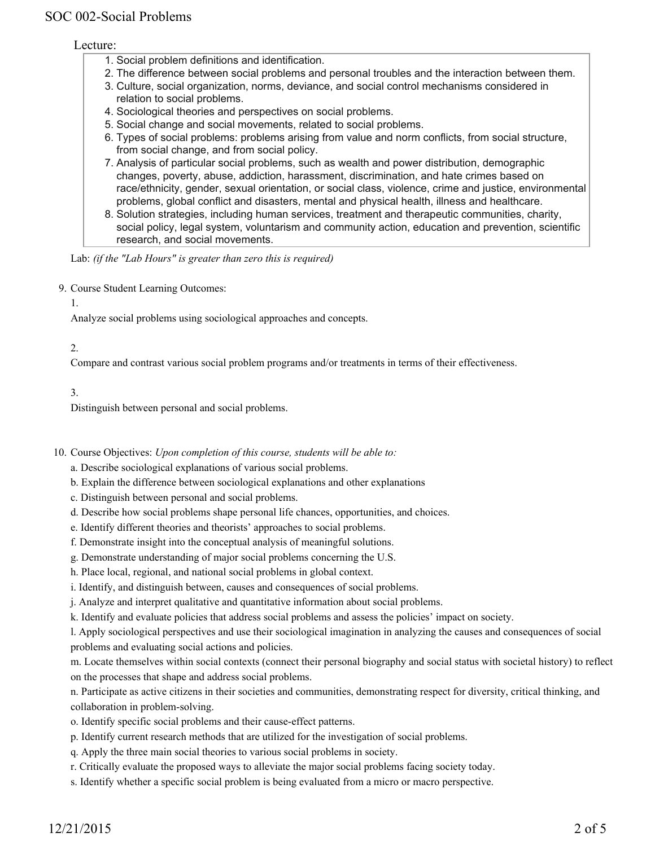#### Lecture:

- 1. Social problem definitions and identification.
- 2. The difference between social problems and personal troubles and the interaction between them.
- 3. Culture, social organization, norms, deviance, and social control mechanisms considered in relation to social problems.
- 4. Sociological theories and perspectives on social problems.
- 5. Social change and social movements, related to social problems.
- 6. Types of social problems: problems arising from value and norm conflicts, from social structure, from social change, and from social policy.
- Analysis of particular social problems, such as wealth and power distribution, demographic 7. changes, poverty, abuse, addiction, harassment, discrimination, and hate crimes based on race/ethnicity, gender, sexual orientation, or social class, violence, crime and justice, environmental problems, global conflict and disasters, mental and physical health, illness and healthcare.
- 8. Solution strategies, including human services, treatment and therapeutic communities, charity, social policy, legal system, voluntarism and community action, education and prevention, scientific research, and social movements.

Lab: *(if the "Lab Hours" is greater than zero this is required)*

9. Course Student Learning Outcomes:

1.

Analyze social problems using sociological approaches and concepts.

2.

Compare and contrast various social problem programs and/or treatments in terms of their effectiveness.

3.

Distinguish between personal and social problems.

10. Course Objectives: Upon completion of this course, students will be able to:

a. Describe sociological explanations of various social problems.

- b. Explain the difference between sociological explanations and other explanations
- c. Distinguish between personal and social problems.
- d. Describe how social problems shape personal life chances, opportunities, and choices.
- e. Identify different theories and theorists' approaches to social problems.
- f. Demonstrate insight into the conceptual analysis of meaningful solutions.
- g. Demonstrate understanding of major social problems concerning the U.S.
- h. Place local, regional, and national social problems in global context.

i. Identify, and distinguish between, causes and consequences of social problems.

j. Analyze and interpret qualitative and quantitative information about social problems.

k. Identify and evaluate policies that address social problems and assess the policies' impact on society.

l. Apply sociological perspectives and use their sociological imagination in analyzing the causes and consequences of social problems and evaluating social actions and policies.

m. Locate themselves within social contexts (connect their personal biography and social status with societal history) to reflect on the processes that shape and address social problems.

n. Participate as active citizens in their societies and communities, demonstrating respect for diversity, critical thinking, and collaboration in problem-solving.

- o. Identify specific social problems and their cause-effect patterns.
- p. Identify current research methods that are utilized for the investigation of social problems.
- q. Apply the three main social theories to various social problems in society.
- r. Critically evaluate the proposed ways to alleviate the major social problems facing society today.
- s. Identify whether a specific social problem is being evaluated from a micro or macro perspective.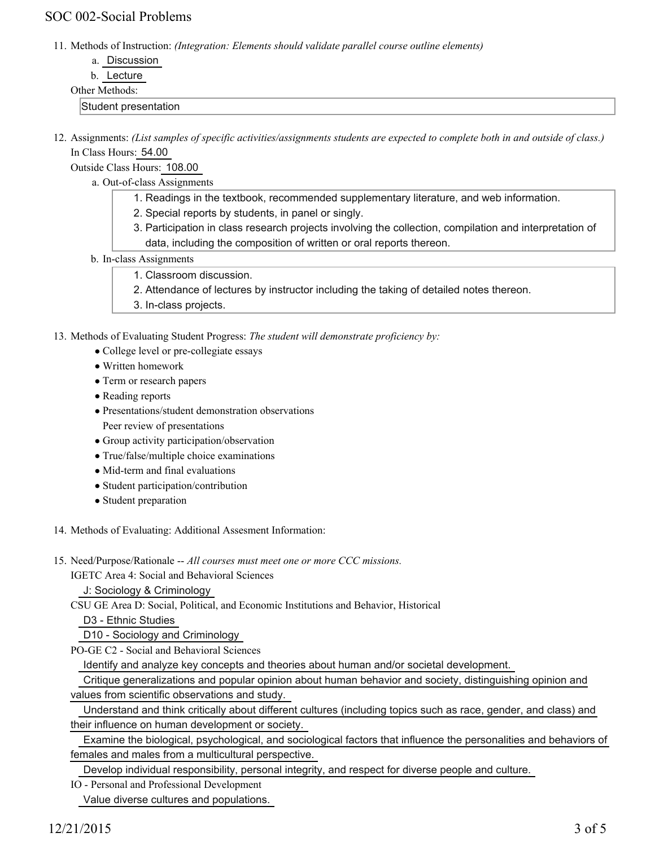## SOC 002-Social Problems

11. Methods of Instruction: *(Integration: Elements should validate parallel course outline elements)* 

b. Lecture

#### Other Methods:

Student presentation

12. Assignments: (List samples of specific activities/assignments students are expected to complete both in and outside of class.) In Class Hours: 54.00

Outside Class Hours: 108.00

- a. Out-of-class Assignments
	- 1. Readings in the textbook, recommended supplementary literature, and web information.
	- 2. Special reports by students, in panel or singly.
	- 3. Participation in class research projects involving the collection, compilation and interpretation of data, including the composition of written or oral reports thereon.
- b. In-class Assignments
	- 1. Classroom discussion.
	- 2. Attendance of lectures by instructor including the taking of detailed notes thereon.
	- 3. In-class projects.

13. Methods of Evaluating Student Progress: The student will demonstrate proficiency by:

- College level or pre-collegiate essays
- Written homework
- Term or research papers
- Reading reports
- Presentations/student demonstration observations Peer review of presentations
- Group activity participation/observation
- True/false/multiple choice examinations
- Mid-term and final evaluations
- Student participation/contribution
- Student preparation
- 14. Methods of Evaluating: Additional Assesment Information:
- 15. Need/Purpose/Rationale -- All courses must meet one or more CCC missions.

IGETC Area 4: Social and Behavioral Sciences

J: Sociology & Criminology

CSU GE Area D: Social, Political, and Economic Institutions and Behavior, Historical

D3 - Ethnic Studies

D10 - Sociology and Criminology

PO-GE C2 - Social and Behavioral Sciences

Identify and analyze key concepts and theories about human and/or societal development.

 Critique generalizations and popular opinion about human behavior and society, distinguishing opinion and values from scientific observations and study.

 Understand and think critically about different cultures (including topics such as race, gender, and class) and their influence on human development or society.

 Examine the biological, psychological, and sociological factors that influence the personalities and behaviors of females and males from a multicultural perspective.

Develop individual responsibility, personal integrity, and respect for diverse people and culture.

IO - Personal and Professional Development Value diverse cultures and populations.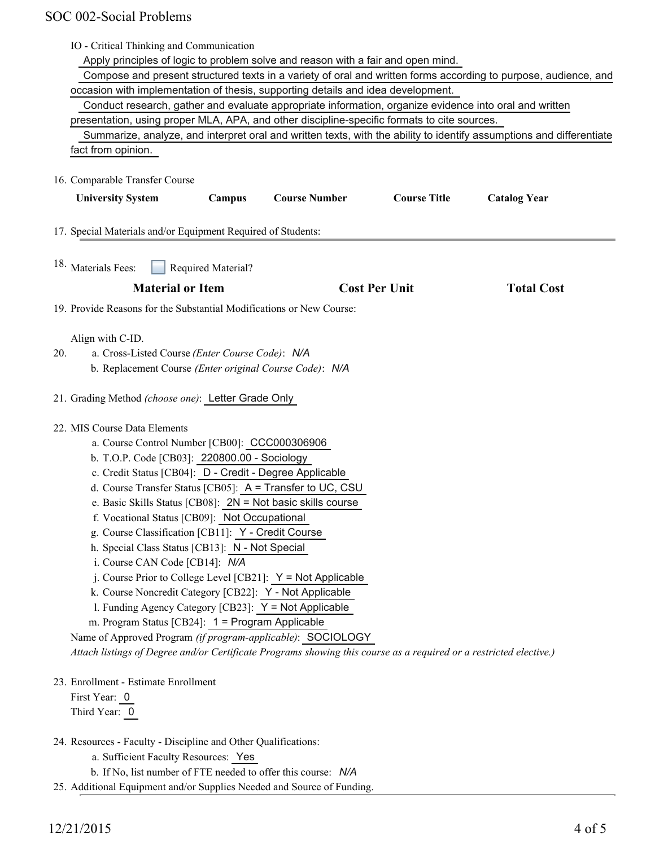|     | IO - Critical Thinking and Communication<br>Apply principles of logic to problem solve and reason with a fair and open mind. |
|-----|------------------------------------------------------------------------------------------------------------------------------|
|     | Compose and present structured texts in a variety of oral and written forms according to purpose, audience, and              |
|     | occasion with implementation of thesis, supporting details and idea development.                                             |
|     | Conduct research, gather and evaluate appropriate information, organize evidence into oral and written                       |
|     | presentation, using proper MLA, APA, and other discipline-specific formats to cite sources.                                  |
|     | Summarize, analyze, and interpret oral and written texts, with the ability to identify assumptions and differentiate         |
|     | fact from opinion.                                                                                                           |
|     | 16. Comparable Transfer Course                                                                                               |
|     | <b>Course Title</b><br><b>University System</b><br><b>Course Number</b><br><b>Catalog Year</b><br>Campus                     |
|     | 17. Special Materials and/or Equipment Required of Students:                                                                 |
|     | 18. Materials Fees:<br>Required Material?                                                                                    |
|     | <b>Material or Item</b><br><b>Cost Per Unit</b><br><b>Total Cost</b>                                                         |
|     | 19. Provide Reasons for the Substantial Modifications or New Course:                                                         |
|     | Align with C-ID.                                                                                                             |
| 20. | a. Cross-Listed Course (Enter Course Code): N/A                                                                              |
|     | b. Replacement Course (Enter original Course Code): N/A                                                                      |
|     | 21. Grading Method (choose one): Letter Grade Only                                                                           |
|     | 22. MIS Course Data Elements                                                                                                 |
|     | a. Course Control Number [CB00]: CCC000306906                                                                                |
|     | b. T.O.P. Code [CB03]: 220800.00 - Sociology                                                                                 |
|     | c. Credit Status [CB04]: D - Credit - Degree Applicable                                                                      |
|     | d. Course Transfer Status [CB05]: A = Transfer to UC, CSU                                                                    |
|     | e. Basic Skills Status [CB08]: 2N = Not basic skills course                                                                  |
|     | f. Vocational Status [CB09]: Not Occupational                                                                                |
|     | g. Course Classification [CB11]: Y - Credit Course<br>h. Special Class Status [CB13]: N - Not Special                        |
|     | i. Course CAN Code [CB14]: N/A                                                                                               |
|     | j. Course Prior to College Level [CB21]: $Y = Not$ Applicable                                                                |
|     | k. Course Noncredit Category [CB22]: Y - Not Applicable                                                                      |
|     | 1. Funding Agency Category [CB23]: Y = Not Applicable                                                                        |
|     | m. Program Status [CB24]: 1 = Program Applicable                                                                             |
|     | Name of Approved Program (if program-applicable): SOCIOLOGY                                                                  |
|     | Attach listings of Degree and/or Certificate Programs showing this course as a required or a restricted elective.)           |
|     | 23. Enrollment - Estimate Enrollment                                                                                         |
|     | First Year: 0                                                                                                                |
|     | Third Year: 0                                                                                                                |
|     | 24. Resources - Faculty - Discipline and Other Qualifications:                                                               |
|     | a. Sufficient Faculty Resources: Yes                                                                                         |
|     | b. If No, list number of FTE needed to offer this course: N/A                                                                |

25. Additional Equipment and/or Supplies Needed and Source of Funding.